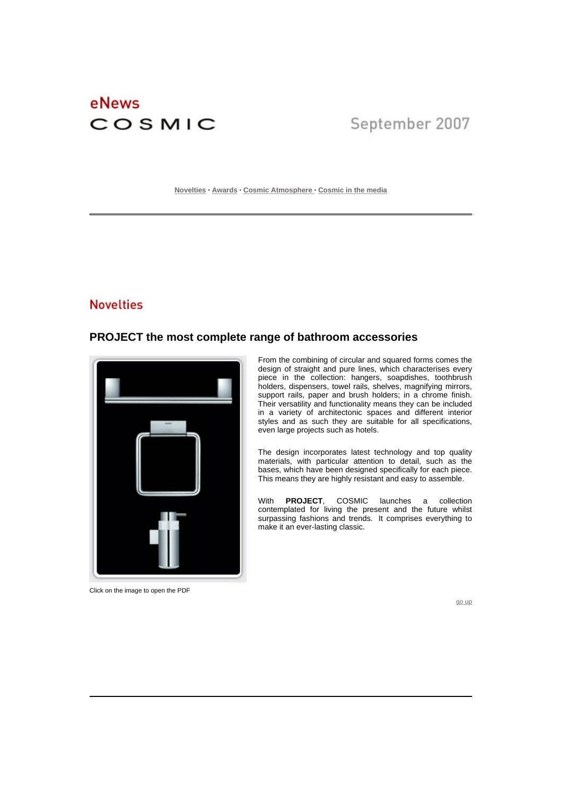# eNews COSMIC

# September 2007

**Novelties · Awards · Cosmic Atmosphere · Cosmic in the media** 

## **Novelties**

#### **PROJECT the most complete range of bathroom accessories**



Click on the image to open the PDF

 From the combining of circular and squared forms comes the design of straight and pure lines, which characterises every piece in the collection: hangers, soapdishes, toothbrush holders, dispensers, towel rails, shelves, magnifying mirrors, support rails, paper and brush holders; in a chrome finish. Their versatility and functionality means they can be included in a variety of architectonic spaces and different interior styles and as such they are suitable for all specifications, even large projects such as hotels.

The design incorporates latest technology and top quality materials, with particular attention to detail, such as the bases, which have been designed specifically for each piece. This means they are highly resistant and easy to assemble.

With **PROJECT**, COSMIC launches a collection contemplated for living the present and the future whilst surpassing fashions and trends. It comprises everything to make it an ever-lasting classic.

go up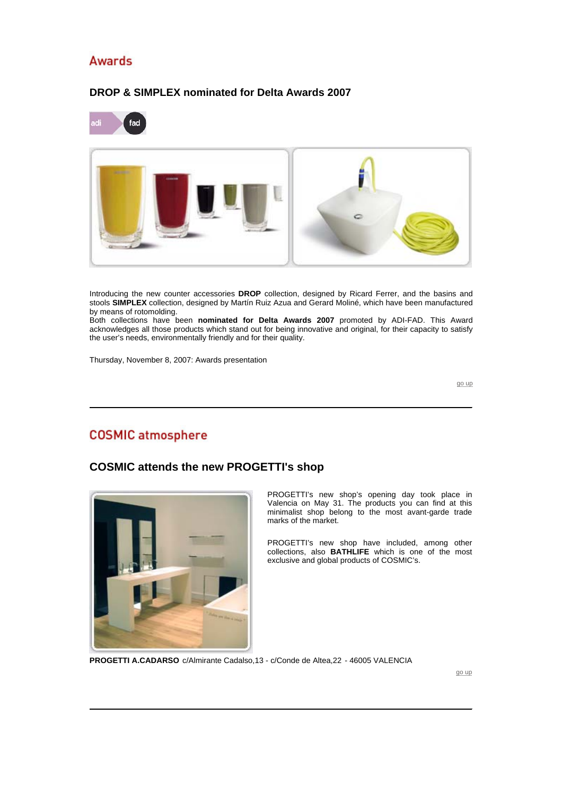# **Awards**

# fad

#### **DROP & SIMPLEX nominated for Delta Awards 2007**

Introducing the new counter accessories **DROP** collection, designed by Ricard Ferrer, and the basins and stools **SIMPLEX** collection, designed by Martín Ruiz Azua and Gerard Moliné, which have been manufactured by means of rotomolding.

Both collections have been **nominated for Delta Awards 2007** promoted by ADI-FAD. This Award acknowledges all those products which stand out for being innovative and original, for their capacity to satisfy the user's needs, environmentally friendly and for their quality.

Thursday, November 8, 2007: Awards presentation

go up

# **COSMIC** atmosphere

#### **COSMIC attends the new PROGETTI's shop**



 PROGETTI's new shop's opening day took place in Valencia on May 31. The products you can find at this minimalist shop belong to the most avant-garde trade marks of the market.

PROGETTI's new shop have included, among other collections, also **BATHLIFE** which is one of the most exclusive and global products of COSMIC's.

**PROGETTI A.CADARSO** c/Almirante Cadalso,13 - c/Conde de Altea,22 - 46005 VALENCIA